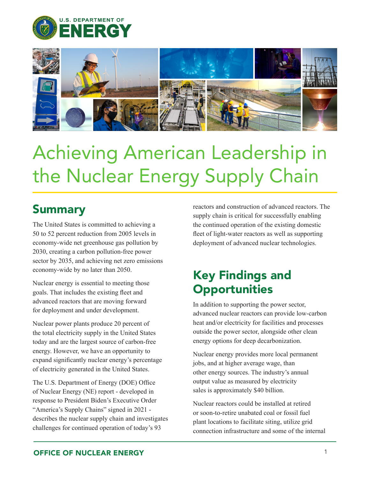



## Achieving American Leadership in the Nuclear Energy Supply Chain

## Summary

The United States is committed to achieving a 50 to 52 percent reduction from 2005 levels in economy-wide net greenhouse gas pollution by 2030, creating a carbon pollution-free power sector by 2035, and achieving net zero emissions economy-wide by no later than 2050.

Nuclear energy is essential to meeting those goals. That includes the existing fleet and advanced reactors that are moving forward for deployment and under development.

Nuclear power plants produce 20 percent of the total electricity supply in the United States today and are the largest source of carbon-free energy. However, we have an opportunity to expand significantly nuclear energy's percentage of electricity generated in the United States.

The U.S. Department of Energy (DOE) Office of Nuclear Energy (NE) report - developed in response to President Biden's Executive Order "America's Supply Chains" signed in 2021 describes the nuclear supply chain and investigates challenges for continued operation of today's 93

reactors and construction of advanced reactors. The supply chain is critical for successfully enabling the continued operation of the existing domestic fleet of light-water reactors as well as supporting deployment of advanced nuclear technologies.

## Key Findings and **Opportunities**

In addition to supporting the power sector, advanced nuclear reactors can provide low-carbon heat and/or electricity for facilities and processes outside the power sector, alongside other clean energy options for deep decarbonization.

Nuclear energy provides more local permanent jobs, and at higher average wage, than other energy sources. The industry's annual output value as measured by electricity sales is approximately \$40 billion.

Nuclear reactors could be installed at retired or soon-to-retire unabated coal or fossil fuel plant locations to facilitate siting, utilize grid connection infrastructure and some of the internal